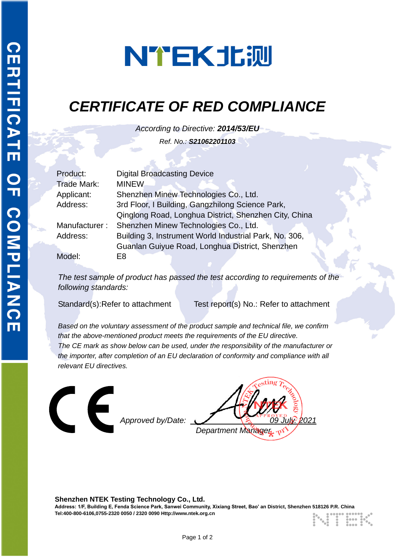# NTEK北测

## *CERTIFICATE OF RED COMPLIANCE*

*According to Directive: 2014/53/EU Ref. No.: S21062201103*

| Product:           | <b>Digital Broadcasting Device</b>                     |  |
|--------------------|--------------------------------------------------------|--|
| <b>Trade Mark:</b> | <b>MINEW</b>                                           |  |
| Applicant:         | Shenzhen Minew Technologies Co., Ltd.                  |  |
| Address:           | 3rd Floor, I Building, Gangzhilong Science Park,       |  |
|                    | Qinglong Road, Longhua District, Shenzhen City, China  |  |
| Manufacturer:      | Shenzhen Minew Technologies Co., Ltd.                  |  |
| Address:           | Building 3, Instrument World Industrial Park, No. 306, |  |
|                    | Guanlan Guiyue Road, Longhua District, Shenzhen        |  |
| Model:             | E8                                                     |  |

*The test sample of product has passed the test according to requirements of the following standards:*

Standard(s):Refer to attachment Test report(s) No.: Refer to attachment

*Based on the voluntary assessment of the product sample and technical file, we confirm that the above-mentioned product meets the requirements of the EU directive. The CE mark as show below can be used, under the responsibility of the manufacturer or the importer, after completion of an EU declaration of conformity and compliance with all relevant EU directives.*



**Shenzhen NTEK Testing Technology Co., Ltd. Address: 1/F, Building E, Fenda Science Park, Sanwei Community, Xixiang Street, Bao' an District, Shenzhen 518126 P.R. China Tel:400-800-6106,0755-2320 0050 / 2320 0090 Http://www.ntek.org.cn**